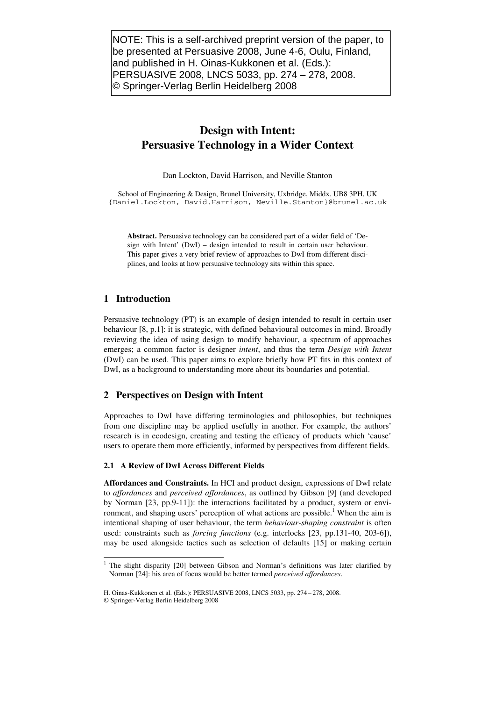NOTE: This is a self-archived preprint version of the paper, to be presented at Persuasive 2008, June 4-6, Oulu, Finland, and published in H. Oinas-Kukkonen et al. (Eds.): PERSUASIVE 2008, LNCS 5033, pp. 274 – 278, 2008. © Springer-Verlag Berlin Heidelberg 2008

# **Design with Intent: Persuasive Technology in a Wider Context**

Dan Lockton, David Harrison, and Neville Stanton

School of Engineering & Design, Brunel University, Uxbridge, Middx. UB8 3PH, UK {Daniel.Lockton, David.Harrison, Neville.Stanton}@brunel.ac.uk

**Abstract.** Persuasive technology can be considered part of a wider field of 'Design with Intent' (DwI) – design intended to result in certain user behaviour. This paper gives a very brief review of approaches to DwI from different disciplines, and looks at how persuasive technology sits within this space.

# **1 Introduction**

Persuasive technology (PT) is an example of design intended to result in certain user behaviour [8, p.1]: it is strategic, with defined behavioural outcomes in mind. Broadly reviewing the idea of using design to modify behaviour, a spectrum of approaches emerges; a common factor is designer *intent*, and thus the term *Design with Intent* (DwI) can be used. This paper aims to explore briefly how PT fits in this context of DwI, as a background to understanding more about its boundaries and potential.

## **2 Perspectives on Design with Intent**

Approaches to DwI have differing terminologies and philosophies, but techniques from one discipline may be applied usefully in another. For example, the authors' research is in ecodesign, creating and testing the efficacy of products which 'cause' users to operate them more efficiently, informed by perspectives from different fields.

## **2.1 A Review of DwI Across Different Fields**

**Affordances and Constraints.** In HCI and product design, expressions of DwI relate to *affordances* and *perceived affordances*, as outlined by Gibson [9] (and developed by Norman [23, pp.9-11]): the interactions facilitated by a product, system or environment, and shaping users' perception of what actions are possible.<sup>1</sup> When the aim is intentional shaping of user behaviour, the term *behaviour-shaping constraint* is often used: constraints such as *forcing functions* (e.g. interlocks [23, pp.131-40, 203-6]), may be used alongside tactics such as selection of defaults [15] or making certain

<sup>&</sup>lt;sup>1</sup> The slight disparity [20] between Gibson and Norman's definitions was later clarified by Norman [24]: his area of focus would be better termed *perceived affordances*.

H. Oinas-Kukkonen et al. (Eds.): PERSUASIVE 2008, LNCS 5033, pp. 274 – 278, 2008.

<sup>©</sup> Springer-Verlag Berlin Heidelberg 2008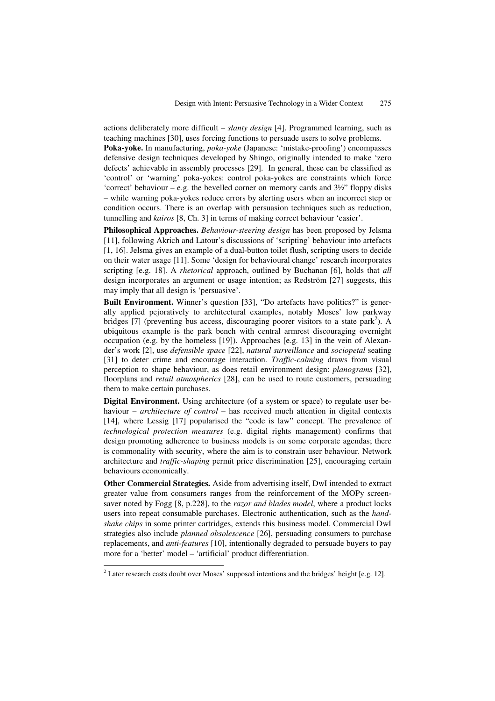actions deliberately more difficult – *slanty design* [4]. Programmed learning, such as teaching machines [30], uses forcing functions to persuade users to solve problems.

**Poka-yoke.** In manufacturing, *poka-yoke* (Japanese: 'mistake-proofing') encompasses defensive design techniques developed by Shingo, originally intended to make 'zero defects' achievable in assembly processes [29]. In general, these can be classified as 'control' or 'warning' poka-yokes: control poka-yokes are constraints which force 'correct' behaviour – e.g. the bevelled corner on memory cards and  $3\frac{1}{2}$ " floppy disks – while warning poka-yokes reduce errors by alerting users when an incorrect step or condition occurs. There is an overlap with persuasion techniques such as reduction, tunnelling and *kairos* [8, Ch. 3] in terms of making correct behaviour 'easier'.

**Philosophical Approaches.** *Behaviour-steering design* has been proposed by Jelsma [11], following Akrich and Latour's discussions of 'scripting' behaviour into artefacts [1, 16]. Jelsma gives an example of a dual-button toilet flush, scripting users to decide on their water usage [11]. Some 'design for behavioural change' research incorporates scripting [e.g. 18]. A *rhetorical* approach, outlined by Buchanan [6], holds that *all* design incorporates an argument or usage intention; as Redström [27] suggests, this may imply that all design is 'persuasive'.

**Built Environment.** Winner's question [33], "Do artefacts have politics?" is generally applied pejoratively to architectural examples, notably Moses' low parkway bridges [7] (preventing bus access, discouraging poorer visitors to a state park<sup>2</sup>). A ubiquitous example is the park bench with central armrest discouraging overnight occupation (e.g. by the homeless [19]). Approaches [e.g. 13] in the vein of Alexander's work [2], use *defensible space* [22], *natural surveillance* and *sociopetal* seating [31] to deter crime and encourage interaction. *Traffic-calming* draws from visual perception to shape behaviour, as does retail environment design: *planograms* [32], floorplans and *retail atmospherics* [28], can be used to route customers, persuading them to make certain purchases.

**Digital Environment.** Using architecture (of a system or space) to regulate user behaviour – *architecture of control* – has received much attention in digital contexts [14], where Lessig [17] popularised the "code is law" concept. The prevalence of *technological protection measures* (e.g. digital rights management) confirms that design promoting adherence to business models is on some corporate agendas; there is commonality with security, where the aim is to constrain user behaviour. Network architecture and *traffic-shaping* permit price discrimination [25], encouraging certain behaviours economically.

**Other Commercial Strategies.** Aside from advertising itself, DwI intended to extract greater value from consumers ranges from the reinforcement of the MOPy screensaver noted by Fogg [8, p.228], to the *razor and blades model*, where a product locks users into repeat consumable purchases. Electronic authentication, such as the *handshake chips* in some printer cartridges, extends this business model. Commercial DwI strategies also include *planned obsolescence* [26], persuading consumers to purchase replacements, and *anti-features* [10], intentionally degraded to persuade buyers to pay more for a 'better' model – 'artificial' product differentiation.

<sup>&</sup>lt;sup>2</sup> Later research casts doubt over Moses' supposed intentions and the bridges' height [e.g. 12].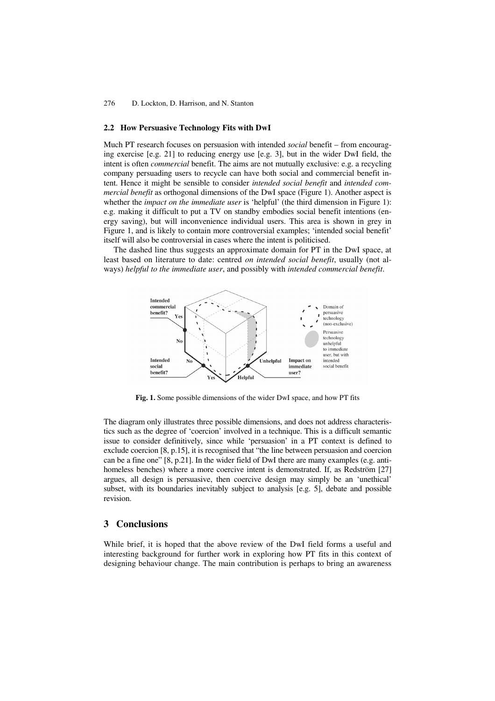#### **2.2 How Persuasive Technology Fits with DwI**

Much PT research focuses on persuasion with intended *social* benefit – from encouraging exercise [e.g. 21] to reducing energy use [e.g. 3], but in the wider DwI field, the intent is often *commercial* benefit. The aims are not mutually exclusive: e.g. a recycling company persuading users to recycle can have both social and commercial benefit intent. Hence it might be sensible to consider *intended social benefit* and *intended commercial benefit* as orthogonal dimensions of the DwI space (Figure 1). Another aspect is whether the *impact on the immediate user* is 'helpful' (the third dimension in Figure 1): e.g. making it difficult to put a TV on standby embodies social benefit intentions (energy saving), but will inconvenience individual users. This area is shown in grey in Figure 1, and is likely to contain more controversial examples; 'intended social benefit' itself will also be controversial in cases where the intent is politicised.

The dashed line thus suggests an approximate domain for PT in the DwI space, at least based on literature to date: centred *on intended social benefit*, usually (not always) *helpful to the immediate user*, and possibly with *intended commercial benefit*.



**Fig. 1.** Some possible dimensions of the wider DwI space, and how PT fits

The diagram only illustrates three possible dimensions, and does not address characteristics such as the degree of 'coercion' involved in a technique. This is a difficult semantic issue to consider definitively, since while 'persuasion' in a PT context is defined to exclude coercion [8, p.15], it is recognised that "the line between persuasion and coercion can be a fine one" [8, p.21]. In the wider field of DwI there are many examples (e.g. antihomeless benches) where a more coercive intent is demonstrated. If, as Redström [27] argues, all design is persuasive, then coercive design may simply be an 'unethical' subset, with its boundaries inevitably subject to analysis [e.g. 5], debate and possible revision.

# **3 Conclusions**

While brief, it is hoped that the above review of the DwI field forms a useful and interesting background for further work in exploring how PT fits in this context of designing behaviour change. The main contribution is perhaps to bring an awareness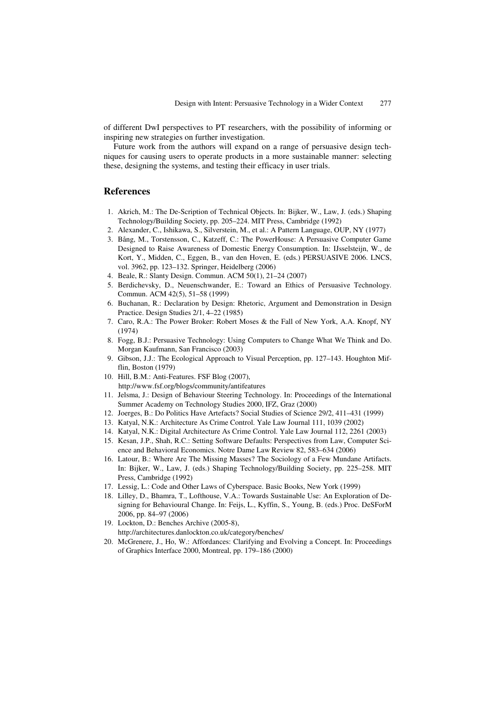of different DwI perspectives to PT researchers, with the possibility of informing or inspiring new strategies on further investigation.

Future work from the authors will expand on a range of persuasive design techniques for causing users to operate products in a more sustainable manner: selecting these, designing the systems, and testing their efficacy in user trials.

## **References**

- 1. Akrich, M.: The De-Scription of Technical Objects. In: Bijker, W., Law, J. (eds.) Shaping Technology/Building Society, pp. 205–224. MIT Press, Cambridge (1992)
- 2. Alexander, C., Ishikawa, S., Silverstein, M., et al.: A Pattern Language, OUP, NY (1977)
- 3. Bång, M., Torstensson, C., Katzeff, C.: The PowerHouse: A Persuasive Computer Game Designed to Raise Awareness of Domestic Energy Consumption. In: IJsselsteijn, W., de Kort, Y., Midden, C., Eggen, B., van den Hoven, E. (eds.) PERSUASIVE 2006. LNCS, vol. 3962, pp. 123–132. Springer, Heidelberg (2006)
- 4. Beale, R.: Slanty Design. Commun. ACM 50(1), 21–24 (2007)
- 5. Berdichevsky, D., Neuenschwander, E.: Toward an Ethics of Persuasive Technology. Commun. ACM 42(5), 51–58 (1999)
- 6. Buchanan, R.: Declaration by Design: Rhetoric, Argument and Demonstration in Design Practice. Design Studies 2/1, 4–22 (1985)
- 7. Caro, R.A.: The Power Broker: Robert Moses & the Fall of New York, A.A. Knopf, NY (1974)
- 8. Fogg, B.J.: Persuasive Technology: Using Computers to Change What We Think and Do. Morgan Kaufmann, San Francisco (2003)
- 9. Gibson, J.J.: The Ecological Approach to Visual Perception, pp. 127–143. Houghton Mifflin, Boston (1979)
- 10. Hill, B.M.: Anti-Features. FSF Blog (2007), http://www.fsf.org/blogs/community/antifeatures
- 11. Jelsma, J.: Design of Behaviour Steering Technology. In: Proceedings of the International Summer Academy on Technology Studies 2000, IFZ, Graz (2000)
- 12. Joerges, B.: Do Politics Have Artefacts? Social Studies of Science 29/2, 411–431 (1999)
- 13. Katyal, N.K.: Architecture As Crime Control. Yale Law Journal 111, 1039 (2002)
- 14. Katyal, N.K.: Digital Architecture As Crime Control. Yale Law Journal 112, 2261 (2003)
- 15. Kesan, J.P., Shah, R.C.: Setting Software Defaults: Perspectives from Law, Computer Science and Behavioral Economics. Notre Dame Law Review 82, 583–634 (2006)
- 16. Latour, B.: Where Are The Missing Masses? The Sociology of a Few Mundane Artifacts. In: Bijker, W., Law, J. (eds.) Shaping Technology/Building Society, pp. 225–258. MIT Press, Cambridge (1992)
- 17. Lessig, L.: Code and Other Laws of Cyberspace. Basic Books, New York (1999)
- 18. Lilley, D., Bhamra, T., Lofthouse, V.A.: Towards Sustainable Use: An Exploration of Designing for Behavioural Change. In: Feijs, L., Kyffin, S., Young, B. (eds.) Proc. DeSForM 2006, pp. 84–97 (2006)
- 19. Lockton, D.: Benches Archive (2005-8), http://architectures.danlockton.co.uk/category/benches/
- 20. McGrenere, J., Ho, W.: Affordances: Clarifying and Evolving a Concept. In: Proceedings of Graphics Interface 2000, Montreal, pp. 179–186 (2000)